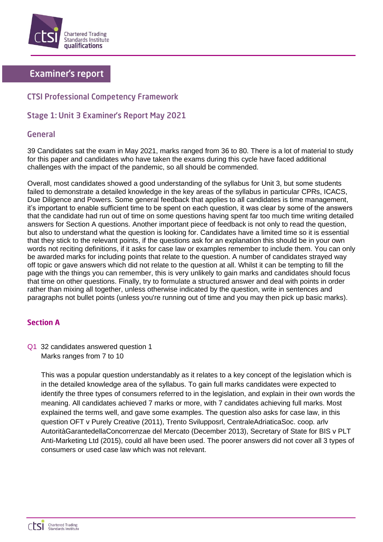

# **Examiner's report**

## **CTSI Professional Competency Framework**

### **Stage 1: Unit 3 Examiner's Report May 2021**

#### General

39 Candidates sat the exam in May 2021, marks ranged from 36 to 80. There is a lot of material to study for this paper and candidates who have taken the exams during this cycle have faced additional challenges with the impact of the pandemic, so all should be commended.

Overall, most candidates showed a good understanding of the syllabus for Unit 3, but some students failed to demonstrate a detailed knowledge in the key areas of the syllabus in particular CPRs, ICACS, Due Diligence and Powers. Some general feedback that applies to all candidates is time management, it's important to enable sufficient time to be spent on each question, it was clear by some of the answers that the candidate had run out of time on some questions having spent far too much time writing detailed answers for Section A questions. Another important piece of feedback is not only to read the question, but also to understand what the question is looking for. Candidates have a limited time so it is essential that they stick to the relevant points, if the questions ask for an explanation this should be in your own words not reciting definitions, if it asks for case law or examples remember to include them. You can only be awarded marks for including points that relate to the question. A number of candidates strayed way off topic or gave answers which did not relate to the question at all. Whilst it can be tempting to fill the page with the things you can remember, this is very unlikely to gain marks and candidates should focus that time on other questions. Finally, try to formulate a structured answer and deal with points in order rather than mixing all together, unless otherwise indicated by the question, write in sentences and paragraphs not bullet points (unless you're running out of time and you may then pick up basic marks).

## **Section A**

Q1 32 candidates answered question 1 Marks ranges from 7 to 10

> This was a popular question understandably as it relates to a key concept of the legislation which is in the detailed knowledge area of the syllabus. To gain full marks candidates were expected to identify the three types of consumers referred to in the legislation, and explain in their own words the meaning. All candidates achieved 7 marks or more, with 7 candidates achieving full marks. Most explained the terms well, and gave some examples. The question also asks for case law, in this question OFT v Purely Creative (2011), Trento Svilupposrl, CentraleAdriaticaSoc. coop. arlv AutoritàGarantedellaConcorrenzae del Mercato (December 2013), Secretary of State for BIS v PLT Anti-Marketing Ltd (2015), could all have been used. The poorer answers did not cover all 3 types of consumers or used case law which was not relevant.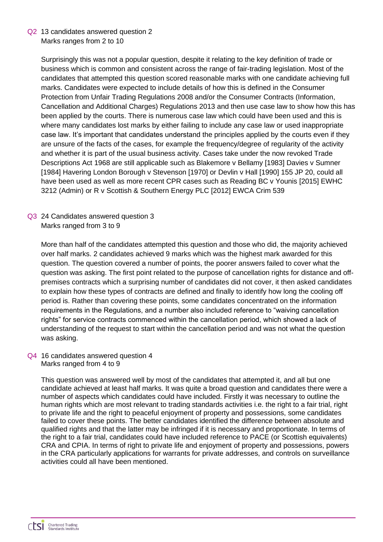Q2 13 candidates answered question 2 Marks ranges from 2 to 10

> Surprisingly this was not a popular question, despite it relating to the key definition of trade or business which is common and consistent across the range of fair-trading legislation. Most of the candidates that attempted this question scored reasonable marks with one candidate achieving full marks. Candidates were expected to include details of how this is defined in the Consumer Protection from Unfair Trading Regulations 2008 and/or the Consumer Contracts (Information, Cancellation and Additional Charges) Regulations 2013 and then use case law to show how this has been applied by the courts. There is numerous case law which could have been used and this is where many candidates lost marks by either failing to include any case law or used inappropriate case law. It's important that candidates understand the principles applied by the courts even if they are unsure of the facts of the cases, for example the frequency/degree of regularity of the activity and whether it is part of the usual business activity. Cases take under the now revoked Trade Descriptions Act 1968 are still applicable such as Blakemore v Bellamy [1983] Davies v Sumner [1984] Havering London Borough v Stevenson [1970] or Devlin v Hall [1990] 155 JP 20, could all have been used as well as more recent CPR cases such as Reading BC v Younis [2015] EWHC 3212 (Admin) or R v Scottish & Southern Energy PLC [2012] EWCA Crim 539

Q3 24 Candidates answered question 3 Marks ranged from 3 to 9

> More than half of the candidates attempted this question and those who did, the majority achieved over half marks. 2 candidates achieved 9 marks which was the highest mark awarded for this question. The question covered a number of points, the poorer answers failed to cover what the question was asking. The first point related to the purpose of cancellation rights for distance and offpremises contracts which a surprising number of candidates did not cover, it then asked candidates to explain how these types of contracts are defined and finally to identify how long the cooling off period is. Rather than covering these points, some candidates concentrated on the information requirements in the Regulations, and a number also included reference to "waiving cancellation rights" for service contracts commenced within the cancellation period, which showed a lack of understanding of the request to start within the cancellation period and was not what the question was asking.

Q4 16 candidates answered question 4 Marks ranged from 4 to 9

> This question was answered well by most of the candidates that attempted it, and all but one candidate achieved at least half marks. It was quite a broad question and candidates there were a number of aspects which candidates could have included. Firstly it was necessary to outline the human rights which are most relevant to trading standards activities i.e. the right to a fair trial, right to private life and the right to peaceful enjoyment of property and possessions, some candidates failed to cover these points. The better candidates identified the difference between absolute and qualified rights and that the latter may be infringed if it is necessary and proportionate. In terms of the right to a fair trial, candidates could have included reference to PACE (or Scottish equivalents) CRA and CPIA. In terms of right to private life and enjoyment of property and possessions, powers in the CRA particularly applications for warrants for private addresses, and controls on surveillance activities could all have been mentioned.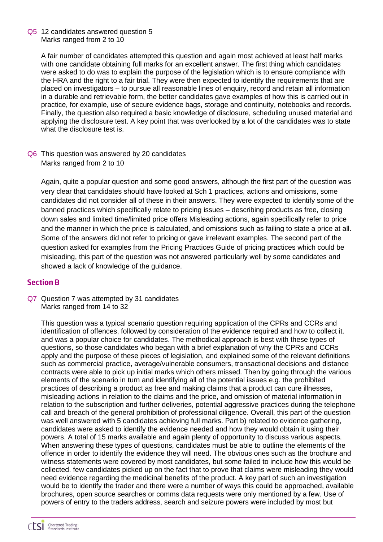Q5 12 candidates answered question 5 Marks ranged from 2 to 10

> A fair number of candidates attempted this question and again most achieved at least half marks with one candidate obtaining full marks for an excellent answer. The first thing which candidates were asked to do was to explain the purpose of the legislation which is to ensure compliance with the HRA and the right to a fair trial. They were then expected to identify the requirements that are placed on investigators – to pursue all reasonable lines of enquiry, record and retain all information in a durable and retrievable form, the better candidates gave examples of how this is carried out in practice, for example, use of secure evidence bags, storage and continuity, notebooks and records. Finally, the question also required a basic knowledge of disclosure, scheduling unused material and applying the disclosure test. A key point that was overlooked by a lot of the candidates was to state what the disclosure test is.

Q6 This question was answered by 20 candidates Marks ranged from 2 to 10

Again, quite a popular question and some good answers, although the first part of the question was very clear that candidates should have looked at Sch 1 practices, actions and omissions, some candidates did not consider all of these in their answers. They were expected to identify some of the banned practices which specifically relate to pricing issues – describing products as free, closing down sales and limited time/limited price offers Misleading actions, again specifically refer to price and the manner in which the price is calculated, and omissions such as failing to state a price at all. Some of the answers did not refer to pricing or gave irrelevant examples. The second part of the question asked for examples from the Pricing Practices Guide of pricing practices which could be misleading, this part of the question was not answered particularly well by some candidates and showed a lack of knowledge of the guidance.

#### **Section B**

Q7 Question 7 was attempted by 31 candidates Marks ranged from 14 to 32

This question was a typical scenario question requiring application of the CPRs and CCRs and identification of offences, followed by consideration of the evidence required and how to collect it. and was a popular choice for candidates. The methodical approach is best with these types of questions, so those candidates who began with a brief explanation of why the CPRs and CCRs apply and the purpose of these pieces of legislation, and explained some of the relevant definitions such as commercial practice, average/vulnerable consumers, transactional decisions and distance contracts were able to pick up initial marks which others missed. Then by going through the various elements of the scenario in turn and identifying all of the potential issues e.g. the prohibited practices of describing a product as free and making claims that a product can cure illnesses, misleading actions in relation to the claims and the price, and omission of material information in relation to the subscription and further deliveries, potential aggressive practices during the telephone call and breach of the general prohibition of professional diligence. Overall, this part of the question was well answered with 5 candidates achieving full marks. Part b) related to evidence gathering, candidates were asked to identify the evidence needed and how they would obtain it using their powers. A total of 15 marks available and again plenty of opportunity to discuss various aspects. When answering these types of questions, candidates must be able to outline the elements of the offence in order to identify the evidence they will need. The obvious ones such as the brochure and witness statements were covered by most candidates, but some failed to include how this would be collected. few candidates picked up on the fact that to prove that claims were misleading they would need evidence regarding the medicinal benefits of the product. A key part of such an investigation would be to identify the trader and there were a number of ways this could be approached, available brochures, open source searches or comms data requests were only mentioned by a few. Use of powers of entry to the traders address, search and seizure powers were included by most but

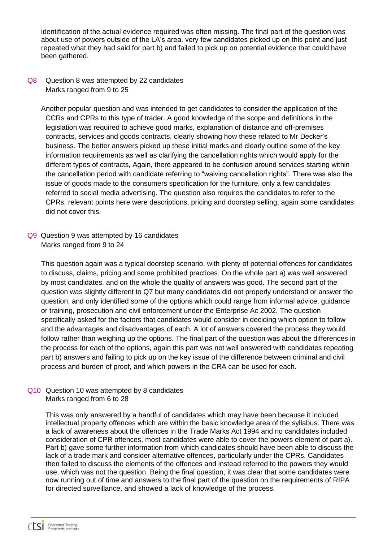identification of the actual evidence required was often missing. The final part of the question was about use of powers outside of the LA's area, very few candidates picked up on this point and just repeated what they had said for part b) and failed to pick up on potential evidence that could have been gathered.

#### Q8 Question 8 was attempted by 22 candidates Marks ranged from 9 to 25

Another popular question and was intended to get candidates to consider the application of the CCRs and CPRs to this type of trader. A good knowledge of the scope and definitions in the legislation was required to achieve good marks, explanation of distance and off-premises contracts, services and goods contracts, clearly showing how these related to Mr Decker's business. The better answers picked up these initial marks and clearly outline some of the key information requirements as well as clarifying the cancellation rights which would apply for the different types of contracts, Again, there appeared to be confusion around services starting within the cancellation period with candidate referring to "waiving cancellation rights". There was also the issue of goods made to the consumers specification for the furniture, only a few candidates referred to social media advertising. The question also requires the candidates to refer to the CPRs, relevant points here were descriptions, pricing and doorstep selling, again some candidates did not cover this.

Q9 Question 9 was attempted by 16 candidates Marks ranged from 9 to 24

This question again was a typical doorstep scenario, with plenty of potential offences for candidates to discuss, claims, pricing and some prohibited practices. On the whole part a) was well answered by most candidates. and on the whole the quality of answers was good. The second part of the question was slightly different to Q7 but many candidates did not properly understand or answer the question, and only identified some of the options which could range from informal advice, guidance or training, prosecution and civil enforcement under the Enterprise Ac 2002. The question specifically asked for the factors that candidates would consider in deciding which option to follow and the advantages and disadvantages of each. A lot of answers covered the process they would follow rather than weighing up the options. The final part of the question was about the differences in the process for each of the options, again this part was not well answered with candidates repeating part b) answers and failing to pick up on the key issue of the difference between criminal and civil process and burden of proof, and which powers in the CRA can be used for each.

#### Q10 Question 10 was attempted by 8 candidates Marks ranged from 6 to 28

This was only answered by a handful of candidates which may have been because it included intellectual property offences which are within the basic knowledge area of the syllabus. There was a lack of awareness about the offences in the Trade Marks Act 1994 and no candidates included consideration of CPR offences, most candidates were able to cover the powers element of part a). Part b) gave some further information from which candidates should have been able to discuss the lack of a trade mark and consider alternative offences, particularly under the CPRs. Candidates then failed to discuss the elements of the offences and instead referred to the powers they would use, which was not the question. Being the final question, it was clear that some candidates were now running out of time and answers to the final part of the question on the requirements of RIPA for directed surveillance, and showed a lack of knowledge of the process.